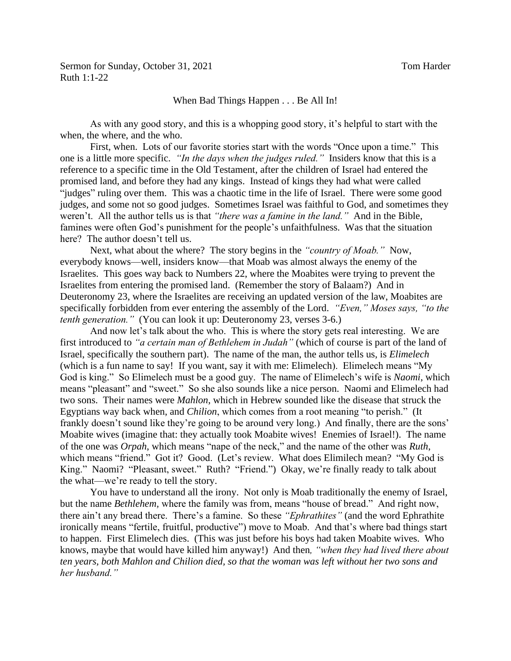Sermon for Sunday, October 31, 2021 Tom Harder Ruth 1:1-22

## When Bad Things Happen . . . Be All In!

As with any good story, and this is a whopping good story, it's helpful to start with the when, the where, and the who.

First, when. Lots of our favorite stories start with the words "Once upon a time." This one is a little more specific. *"In the days when the judges ruled."* Insiders know that this is a reference to a specific time in the Old Testament, after the children of Israel had entered the promised land, and before they had any kings. Instead of kings they had what were called "judges" ruling over them. This was a chaotic time in the life of Israel. There were some good judges, and some not so good judges. Sometimes Israel was faithful to God, and sometimes they weren't. All the author tells us is that *"there was a famine in the land."* And in the Bible, famines were often God's punishment for the people's unfaithfulness. Was that the situation here? The author doesn't tell us.

Next, what about the where? The story begins in the *"country of Moab."* Now, everybody knows—well, insiders know—that Moab was almost always the enemy of the Israelites. This goes way back to Numbers 22, where the Moabites were trying to prevent the Israelites from entering the promised land. (Remember the story of Balaam?) And in Deuteronomy 23, where the Israelites are receiving an updated version of the law, Moabites are specifically forbidden from ever entering the assembly of the Lord. *"Even," Moses says, "to the tenth generation."* (You can look it up: Deuteronomy 23, verses 3-6.)

And now let's talk about the who. This is where the story gets real interesting. We are first introduced to *"a certain man of Bethlehem in Judah"* (which of course is part of the land of Israel, specifically the southern part). The name of the man, the author tells us, is *Elimelech* (which is a fun name to say! If you want, say it with me: Elimelech). Elimelech means "My God is king." So Elimelech must be a good guy. The name of Elimelech's wife is *Naomi*, which means "pleasant" and "sweet." So she also sounds like a nice person. Naomi and Elimelech had two sons. Their names were *Mahlon*, which in Hebrew sounded like the disease that struck the Egyptians way back when, and *Chilion*, which comes from a root meaning "to perish." (It frankly doesn't sound like they're going to be around very long.) And finally, there are the sons' Moabite wives (imagine that: they actually took Moabite wives! Enemies of Israel!). The name of the one was *Orpah*, which means "nape of the neck," and the name of the other was *Ruth*, which means "friend." Got it? Good. (Let's review. What does Elimilech mean? "My God is King." Naomi? "Pleasant, sweet." Ruth? "Friend.") Okay, we're finally ready to talk about the what—we're ready to tell the story.

You have to understand all the irony. Not only is Moab traditionally the enemy of Israel, but the name *Bethlehem,* where the family was from, means "house of bread." And right now, there ain't any bread there. There's a famine. So these *"Ephrathites"* (and the word Ephrathite ironically means "fertile, fruitful, productive") move to Moab. And that's where bad things start to happen. First Elimelech dies. (This was just before his boys had taken Moabite wives. Who knows, maybe that would have killed him anyway!) And then*, "when they had lived there about ten years, both Mahlon and Chilion died, so that the woman was left without her two sons and her husband."*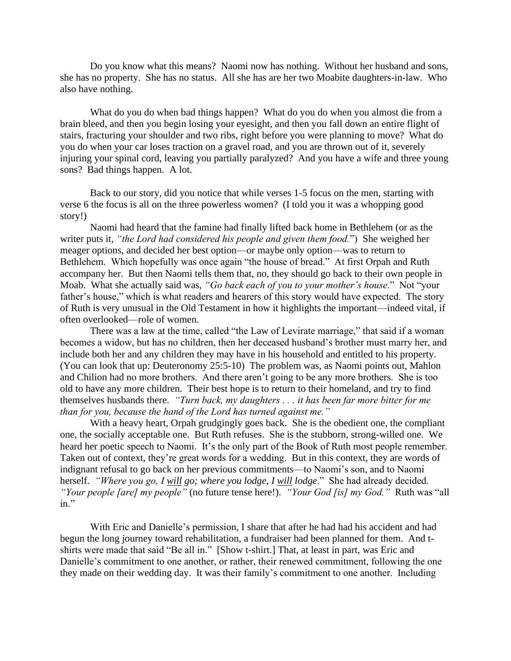Do you know what this means? Naomi now has nothing. Without her husband and sons, she has no property. She has no status. All she has are her two Moabite daughters-in-law. Who also have nothing.

What do you do when bad things happen? What do you do when you almost die from a brain bleed, and then you begin losing your eyesight, and then you fall down an entire flight of stairs, fracturing your shoulder and two ribs, right before you were planning to move? What do you do when your car loses traction on a gravel road, and you are thrown out of it, severely injuring your spinal cord, leaving you partially paralyzed? And you have a wife and three young sons? Bad things happen. A lot.

Back to our story, did you notice that while verses 1-5 focus on the men, starting with verse 6 the focus is all on the three powerless women? (I told you it was a whopping good story!)

Naomi had heard that the famine had finally lifted back home in Bethlehem (or as the writer puts it, *"the Lord had considered his people and given them food.*") She weighed her meager options, and decided her best option—or maybe only option—was to return to Bethlehem. Which hopefully was once again "the house of bread." At first Orpah and Ruth accompany her. But then Naomi tells them that, no, they should go back to their own people in Moab. What she actually said was, *"Go back each of you to your mother's house*." Not "your father's house," which is what readers and hearers of this story would have expected. The story of Ruth is very unusual in the Old Testament in how it highlights the important—indeed vital, if often overlooked—role of women.

There was a law at the time, called "the Law of Levirate marriage," that said if a woman becomes a widow, but has no children, then her deceased husband's brother must marry her, and include both her and any children they may have in his household and entitled to his property. (You can look that up: Deuteronomy 25:5-10) The problem was, as Naomi points out, Mahlon and Chilion had no more brothers. And there aren't going to be any more brothers. She is too old to have any more children. Their best hope is to return to their homeland, and try to find themselves husbands there. *"Turn back, my daughters . . . it has been far more bitter for me than for you, because the hand of the Lord has turned against me."*

With a heavy heart, Orpah grudgingly goes back. She is the obedient one, the compliant one, the socially acceptable one. But Ruth refuses. She is the stubborn, strong-willed one. We heard her poetic speech to Naomi. It's the only part of the Book of Ruth most people remember. Taken out of context, they're great words for a wedding. But in this context, they are words of indignant refusal to go back on her previous commitments—to Naomi's son, and to Naomi herself. *"Where you go, I will go; where you lodge, I will lodge*." She had already decided. *"Your people [are] my people"* (no future tense here!). *"Your God [is] my God."* Ruth was "all in."

With Eric and Danielle's permission, I share that after he had had his accident and had begun the long journey toward rehabilitation, a fundraiser had been planned for them. And tshirts were made that said "Be all in." [Show t-shirt.] That, at least in part, was Eric and Danielle's commitment to one another, or rather, their renewed commitment, following the one they made on their wedding day. It was their family's commitment to one another. Including